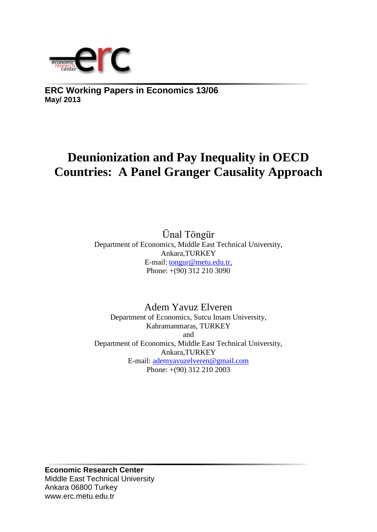

**ERC Working Papers in Economics 13/06 May/ 2013**

# **Deunionization and Pay Inequality in OECD Countries: A Panel Granger Causality Approach**

Ünal Töngür Department of Economics, Middle East Technical University, Ankara,TURKEY E-mail: tongur@metu.edu.tr, Phone: +(90) 312 210 3090

Adem Yavuz Elveren Department of Economics, Sutcu Imam University, Kahramanmaras, TURKEY and Department of Economics, Middle East Technical University, Ankara,TURKEY E-mail: [ademyavuzelveren@gmail.com](mailto:ademyavuzelveren@gmail.com) Phone: +(90) 312 210 2003

**Economic Research Center** Middle East Technical University Ankara 06800 Turkey www.erc.metu.edu.tr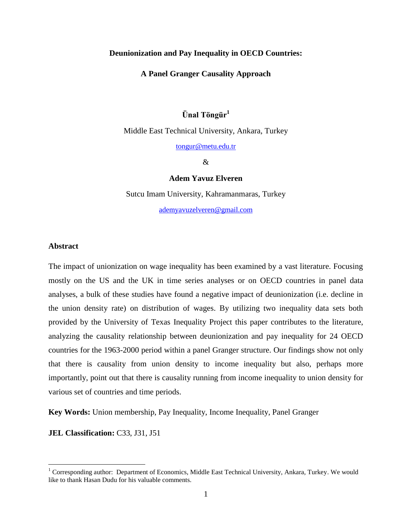#### **Deunionization and Pay Inequality in OECD Countries:**

**A Panel Granger Causality Approach**

## **Ünal Töngür<sup>1</sup>**

Middle East Technical University, Ankara, Turkey

[tongur@metu.edu.tr](mailto:tongur@metu.edu.tr)

&

#### **Adem Yavuz Elveren**

Sutcu Imam University, Kahramanmaras, Turkey [ademyavuzelveren@gmail.com](mailto:ademyavuzelveren@gmail.com)

#### **Abstract**

 $\overline{\phantom{a}}$ 

The impact of unionization on wage inequality has been examined by a vast literature. Focusing mostly on the US and the UK in time series analyses or on OECD countries in panel data analyses, a bulk of these studies have found a negative impact of deunionization (i.e. decline in the union density rate) on distribution of wages. By utilizing two inequality data sets both provided by the University of Texas Inequality Project this paper contributes to the literature, analyzing the causality relationship between deunionization and pay inequality for 24 OECD countries for the 1963-2000 period within a panel Granger structure. Our findings show not only that there is causality from union density to income inequality but also, perhaps more importantly, point out that there is causality running from income inequality to union density for various set of countries and time periods.

**Key Words:** Union membership, Pay Inequality, Income Inequality, Panel Granger

**JEL Classification: C33, J31, J51** 

 $1$  Corresponding author: Department of Economics, Middle East Technical University, Ankara, Turkey. We would like to thank Hasan Dudu for his valuable comments.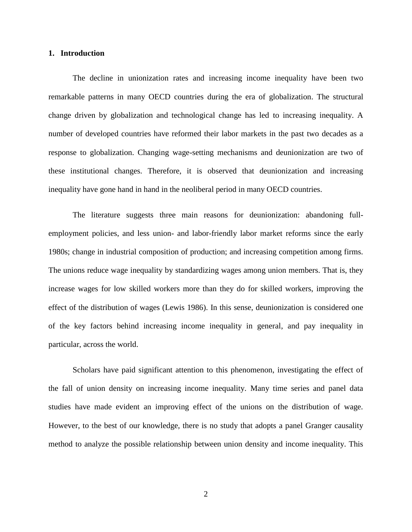#### **1. Introduction**

The decline in unionization rates and increasing income inequality have been two remarkable patterns in many OECD countries during the era of globalization. The structural change driven by globalization and technological change has led to increasing inequality. A number of developed countries have reformed their labor markets in the past two decades as a response to globalization. Changing wage-setting mechanisms and deunionization are two of these institutional changes. Therefore, it is observed that deunionization and increasing inequality have gone hand in hand in the neoliberal period in many OECD countries.

The literature suggests three main reasons for deunionization: abandoning fullemployment policies, and less union- and labor-friendly labor market reforms since the early 1980s; change in industrial composition of production; and increasing competition among firms. The unions reduce wage inequality by standardizing wages among union members. That is, they increase wages for low skilled workers more than they do for skilled workers, improving the effect of the distribution of wages (Lewis 1986). In this sense, deunionization is considered one of the key factors behind increasing income inequality in general, and pay inequality in particular, across the world.

Scholars have paid significant attention to this phenomenon, investigating the effect of the fall of union density on increasing income inequality. Many time series and panel data studies have made evident an improving effect of the unions on the distribution of wage. However, to the best of our knowledge, there is no study that adopts a panel Granger causality method to analyze the possible relationship between union density and income inequality. This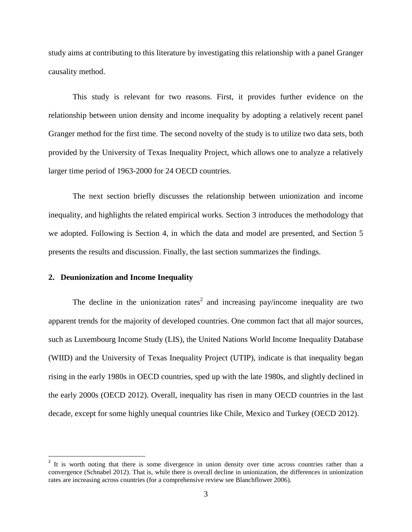study aims at contributing to this literature by investigating this relationship with a panel Granger causality method.

This study is relevant for two reasons. First, it provides further evidence on the relationship between union density and income inequality by adopting a relatively recent panel Granger method for the first time. The second novelty of the study is to utilize two data sets, both provided by the University of Texas Inequality Project, which allows one to analyze a relatively larger time period of 1963-2000 for 24 OECD countries.

The next section briefly discusses the relationship between unionization and income inequality, and highlights the related empirical works. Section 3 introduces the methodology that we adopted. Following is Section 4, in which the data and model are presented, and Section 5 presents the results and discussion. Finally, the last section summarizes the findings.

### **2. Deunionization and Income Inequality**

 $\overline{\phantom{a}}$ 

The decline in the unionization rates<sup>2</sup> and increasing pay/income inequality are two apparent trends for the majority of developed countries. One common fact that all major sources, such as Luxembourg Income Study (LIS), the United Nations World Income Inequality Database (WIID) and the University of Texas Inequality Project (UTIP), indicate is that inequality began rising in the early 1980s in OECD countries, sped up with the late 1980s, and slightly declined in the early 2000s (OECD 2012). Overall, inequality has risen in many OECD countries in the last decade, except for some highly unequal countries like Chile, Mexico and Turkey (OECD 2012).

<sup>&</sup>lt;sup>2</sup> It is worth noting that there is some divergence in union density over time across countries rather than a convergence (Schnabel 2012). That is, while there is overall decline in unionization, the differences in unionization rates are increasing across countries (for a comprehensive review see Blanchflower 2006).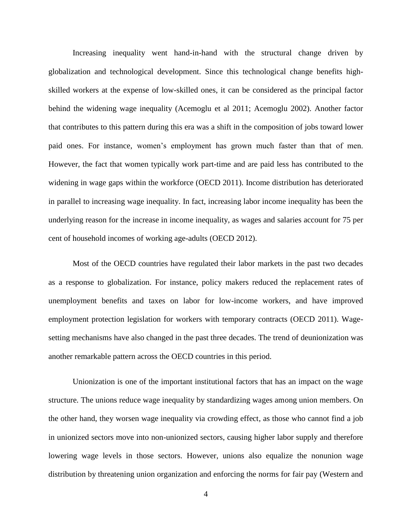Increasing inequality went hand-in-hand with the structural change driven by globalization and technological development. Since this technological change benefits highskilled workers at the expense of low-skilled ones, it can be considered as the principal factor behind the widening wage inequality (Acemoglu et al 2011; Acemoglu 2002). Another factor that contributes to this pattern during this era was a shift in the composition of jobs toward lower paid ones. For instance, women's employment has grown much faster than that of men. However, the fact that women typically work part-time and are paid less has contributed to the widening in wage gaps within the workforce (OECD 2011). Income distribution has deteriorated in parallel to increasing wage inequality. In fact, increasing labor income inequality has been the underlying reason for the increase in income inequality, as wages and salaries account for 75 per cent of household incomes of working age-adults (OECD 2012).

Most of the OECD countries have regulated their labor markets in the past two decades as a response to globalization. For instance, policy makers reduced the replacement rates of unemployment benefits and taxes on labor for low-income workers, and have improved employment protection legislation for workers with temporary contracts (OECD 2011). Wagesetting mechanisms have also changed in the past three decades. The trend of deunionization was another remarkable pattern across the OECD countries in this period.

Unionization is one of the important institutional factors that has an impact on the wage structure. The unions reduce wage inequality by standardizing wages among union members. On the other hand, they worsen wage inequality via crowding effect, as those who cannot find a job in unionized sectors move into non-unionized sectors, causing higher labor supply and therefore lowering wage levels in those sectors. However, unions also equalize the nonunion wage distribution by threatening union organization and enforcing the norms for fair pay (Western and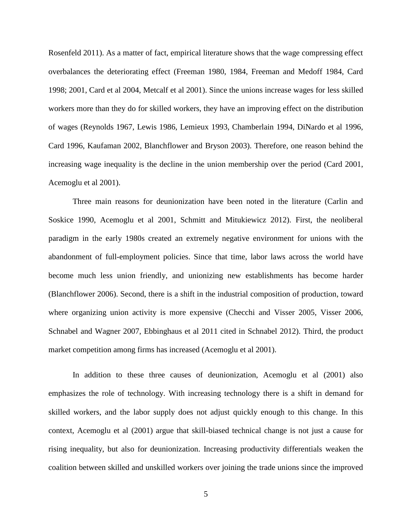Rosenfeld 2011). As a matter of fact, empirical literature shows that the wage compressing effect overbalances the deteriorating effect (Freeman 1980, 1984, Freeman and Medoff 1984, Card 1998; 2001, Card et al 2004, Metcalf et al 2001). Since the unions increase wages for less skilled workers more than they do for skilled workers, they have an improving effect on the distribution of wages (Reynolds 1967, Lewis 1986, Lemieux 1993, Chamberlain 1994, DiNardo et al 1996, Card 1996, Kaufaman 2002, Blanchflower and Bryson 2003). Therefore, one reason behind the increasing wage inequality is the decline in the union membership over the period (Card 2001, Acemoglu et al 2001).

Three main reasons for deunionization have been noted in the literature (Carlin and Soskice 1990, Acemoglu et al 2001, Schmitt and Mitukiewicz 2012). First, the neoliberal paradigm in the early 1980s created an extremely negative environment for unions with the abandonment of full-employment policies. Since that time, labor laws across the world have become much less union friendly, and unionizing new establishments has become harder (Blanchflower 2006). Second, there is a shift in the industrial composition of production, toward where organizing union activity is more expensive (Checchi and Visser 2005, Visser 2006, Schnabel and Wagner 2007, Ebbinghaus et al 2011 cited in Schnabel 2012). Third, the product market competition among firms has increased (Acemoglu et al 2001).

In addition to these three causes of deunionization, Acemoglu et al (2001) also emphasizes the role of technology. With increasing technology there is a shift in demand for skilled workers, and the labor supply does not adjust quickly enough to this change. In this context, Acemoglu et al (2001) argue that skill-biased technical change is not just a cause for rising inequality, but also for deunionization. Increasing productivity differentials weaken the coalition between skilled and unskilled workers over joining the trade unions since the improved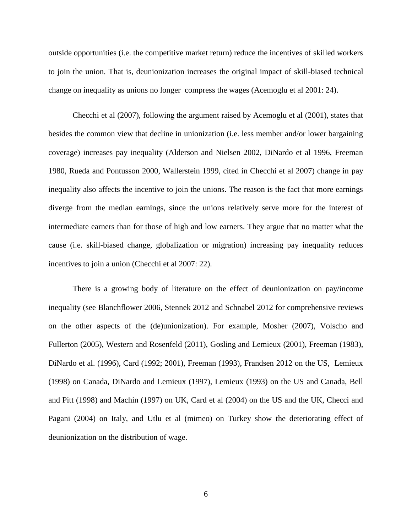outside opportunities (i.e. the competitive market return) reduce the incentives of skilled workers to join the union. That is, deunionization increases the original impact of skill-biased technical change on inequality as unions no longer compress the wages (Acemoglu et al 2001: 24).

Checchi et al (2007), following the argument raised by Acemoglu et al (2001), states that besides the common view that decline in unionization (i.e. less member and/or lower bargaining coverage) increases pay inequality (Alderson and Nielsen 2002, DiNardo et al 1996, Freeman 1980, Rueda and Pontusson 2000, Wallerstein 1999, cited in Checchi et al 2007) change in pay inequality also affects the incentive to join the unions. The reason is the fact that more earnings diverge from the median earnings, since the unions relatively serve more for the interest of intermediate earners than for those of high and low earners. They argue that no matter what the cause (i.e. skill-biased change, globalization or migration) increasing pay inequality reduces incentives to join a union (Checchi et al 2007: 22).

There is a growing body of literature on the effect of deunionization on pay/income inequality (see Blanchflower 2006, Stennek 2012 and Schnabel 2012 for comprehensive reviews on the other aspects of the (de)unionization). For example, Mosher (2007), Volscho and Fullerton (2005), Western and Rosenfeld (2011), Gosling and Lemieux (2001), Freeman (1983), DiNardo et al. (1996), Card (1992; 2001), Freeman (1993), Frandsen 2012 on the US, Lemieux (1998) on Canada, DiNardo and Lemieux (1997), Lemieux (1993) on the US and Canada, Bell and Pitt (1998) and Machin (1997) on UK, Card et al (2004) on the US and the UK, Checci and Pagani (2004) on Italy, and Utlu et al (mimeo) on Turkey show the deteriorating effect of deunionization on the distribution of wage.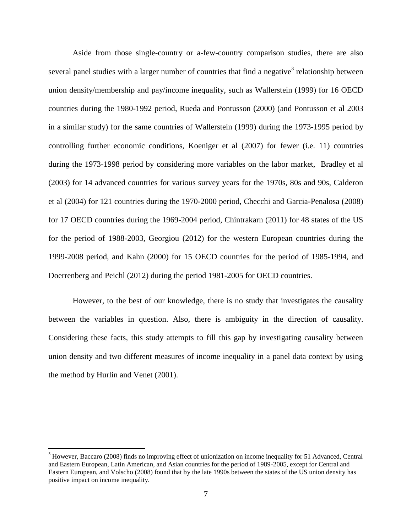Aside from those single-country or a-few-country comparison studies, there are also several panel studies with a larger number of countries that find a negative<sup>3</sup> relationship between union density/membership and pay/income inequality, such as Wallerstein (1999) for 16 OECD countries during the 1980-1992 period, Rueda and Pontusson (2000) (and Pontusson et al 2003 in a similar study) for the same countries of Wallerstein (1999) during the 1973-1995 period by controlling further economic conditions, Koeniger et al (2007) for fewer (i.e. 11) countries during the 1973-1998 period by considering more variables on the labor market, Bradley et al (2003) for 14 advanced countries for various survey years for the 1970s, 80s and 90s, Calderon et al (2004) for 121 countries during the 1970-2000 period, Checchi and Garcia-Penalosa (2008) for 17 OECD countries during the 1969-2004 period, Chintrakarn (2011) for 48 states of the US for the period of 1988-2003, Georgiou (2012) for the western European countries during the 1999-2008 period, and Kahn (2000) for 15 OECD countries for the period of 1985-1994, and Doerrenberg and Peichl (2012) during the period 1981-2005 for OECD countries.

However, to the best of our knowledge, there is no study that investigates the causality between the variables in question. Also, there is ambiguity in the direction of causality. Considering these facts, this study attempts to fill this gap by investigating causality between union density and two different measures of income inequality in a panel data context by using the method by Hurlin and Venet (2001).

 $\overline{\phantom{a}}$ 

<sup>&</sup>lt;sup>3</sup> However, Baccaro (2008) finds no improving effect of unionization on income inequality for 51 Advanced, Central and Eastern European, Latin American, and Asian countries for the period of 1989-2005, except for Central and Eastern European, and Volscho (2008) found that by the late 1990s between the states of the US union density has positive impact on income inequality.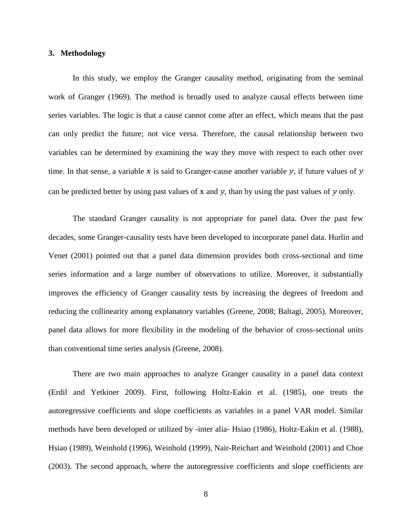#### **3. Methodology**

In this study, we employ the Granger causality method, originating from the seminal work of Granger (1969). The method is broadly used to analyze causal effects between time series variables. The logic is that a cause cannot come after an effect, which means that the past can only predict the future; not vice versa. Therefore, the causal relationship between two variables can be determined by examining the way they move with respect to each other over time. In that sense, a variable  $x$  is said to Granger-cause another variable  $y$ , if future values of  $y$ can be predicted better by using past values of  $x$  and  $y$ , than by using the past values of  $y$  only.

The standard Granger causality is not appropriate for panel data. Over the past few decades, some Granger-causality tests have been developed to incorporate panel data. Hurlin and Venet (2001) pointed out that a panel data dimension provides both cross-sectional and time series information and a large number of observations to utilize. Moreover, it substantially improves the efficiency of Granger causality tests by increasing the degrees of freedom and reducing the collinearity among explanatory variables (Greene, 2008; Baltagi, 2005). Moreover, panel data allows for more flexibility in the modeling of the behavior of cross-sectional units than conventional time series analysis (Greene, 2008).

There are two main approaches to analyze Granger causality in a panel data context (Erdil and Yetkiner 2009). First, following Holtz-Eakin et al. (1985), one treats the autoregressive coefficients and slope coefficients as variables in a panel VAR model. Similar methods have been developed or utilized by -inter alia- Hsiao (1986), Holtz-Eakin et al. (1988), Hsiao (1989), Weinhold (1996), Weinhold (1999), Nair-Reichart and Weinhold (2001) and Choe (2003). The second approach, where the autoregressive coefficients and slope coefficients are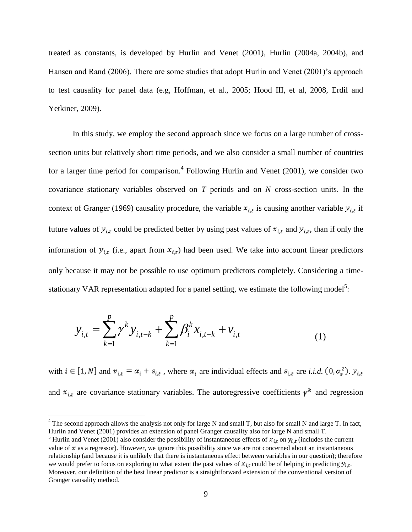treated as constants, is developed by Hurlin and Venet (2001), Hurlin (2004a, 2004b), and Hansen and Rand (2006). There are some studies that adopt Hurlin and Venet (2001)'s approach to test causality for panel data (e.g, Hoffman, et al., 2005; Hood III, et al, 2008, Erdil and Yetkiner, 2009).

In this study, we employ the second approach since we focus on a large number of crosssection units but relatively short time periods, and we also consider a small number of countries for a larger time period for comparison.<sup>4</sup> Following Hurlin and Venet (2001), we consider two covariance stationary variables observed on *T* periods and on *N* cross-section units. In the context of Granger (1969) causality procedure, the variable  $x_{i,t}$  is causing another variable  $y_{i,t}$  if future values of  $y_{i,t}$  could be predicted better by using past values of  $x_{i,t}$  and  $y_{i,t}$ , than if only the information of  $y_{i,t}$  (i.e., apart from  $x_{i,t}$ ) had been used. We take into account linear predictors only because it may not be possible to use optimum predictors completely. Considering a timestationary VAR representation adapted for a panel setting, we estimate the following model<sup>5</sup>:

$$
y_{i,t} = \sum_{k=1}^{p} \gamma^k y_{i,t-k} + \sum_{k=1}^{p} \beta_i^k x_{i,t-k} + v_{i,t}
$$
 (1)

with  $i \in [1, N]$  and  $v_{i,t} = \alpha_i + \varepsilon_{i,t}$ , where  $\alpha_i$  are individual effects and  $\varepsilon_{i,t}$  are *i.i.d.*  $(0, \sigma_s^2)$ .  $y_{i,t}$ and  $x_{i,t}$  are covariance stationary variables. The autoregressive coefficients  $\gamma^k$  and regression

l

 $4$  The second approach allows the analysis not only for large N and small T, but also for small N and large T. In fact, Hurlin and Venet (2001) provides an extension of panel Granger causality also for large N and small T.

<sup>&</sup>lt;sup>5</sup> Hurlin and Venet (2001) also consider the possibility of instantaneous effects of  $x_{i,t}$  on  $y_{i,t}$  (includes the current value of  $x$  as a regressor). However, we ignore this possibility since we are not concerned about an instantaneous relationship (and because it is unlikely that there is instantaneous effect between variables in our question); therefore we would prefer to focus on exploring to what extent the past values of  $x_{i,t}$  could be of helping in predicting  $y_{i,t}$ . Moreover, our definition of the best linear predictor is a straightforward extension of the conventional version of Granger causality method.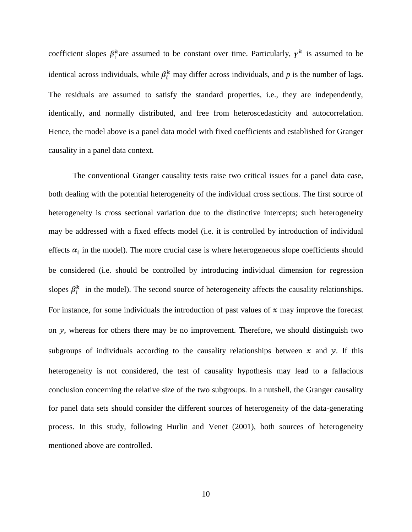coefficient slopes  $\beta_i^k$  are assumed to be constant over time. Particularly,  $\gamma^k$  is assumed to be identical across individuals, while  $\beta_i^k$  may differ across individuals, and *p* is the number of lags. The residuals are assumed to satisfy the standard properties, i.e., they are independently, identically, and normally distributed, and free from heteroscedasticity and autocorrelation. Hence, the model above is a panel data model with fixed coefficients and established for Granger causality in a panel data context.

The conventional Granger causality tests raise two critical issues for a panel data case, both dealing with the potential heterogeneity of the individual cross sections. The first source of heterogeneity is cross sectional variation due to the distinctive intercepts; such heterogeneity may be addressed with a fixed effects model (i.e. it is controlled by introduction of individual effects  $\alpha_i$  in the model). The more crucial case is where heterogeneous slope coefficients should be considered (i.e. should be controlled by introducing individual dimension for regression slopes  $\beta_i^k$  in the model). The second source of heterogeneity affects the causality relationships. For instance, for some individuals the introduction of past values of  $x$  may improve the forecast on y, whereas for others there may be no improvement. Therefore, we should distinguish two subgroups of individuals according to the causality relationships between  $x$  and  $y$ . If this heterogeneity is not considered, the test of causality hypothesis may lead to a fallacious conclusion concerning the relative size of the two subgroups. In a nutshell, the Granger causality for panel data sets should consider the different sources of heterogeneity of the data-generating process. In this study, following Hurlin and Venet (2001), both sources of heterogeneity mentioned above are controlled.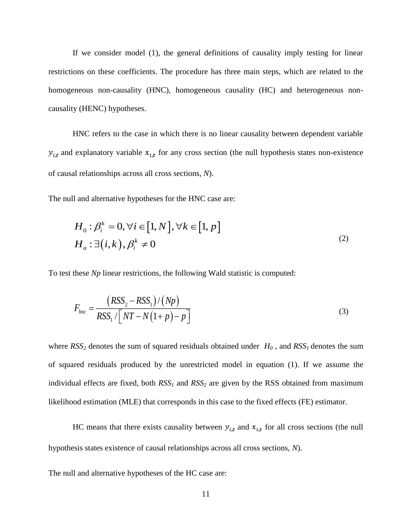If we consider model (1), the general definitions of causality imply testing for linear restrictions on these coefficients. The procedure has three main steps, which are related to the homogeneous non-causality (HNC), homogeneous causality (HC) and heterogeneous noncausality (HENC) hypotheses.

HNC refers to the case in which there is no linear causality between dependent variable  $y_{i,t}$  and explanatory variable  $x_{i,t}$  for any cross section (the null hypothesis states non-existence of causal relationships across all cross sections, *N*).

The null and alternative hypotheses for the HNC case are:

$$
H_0: \beta_i^k = 0, \forall i \in [1, N], \forall k \in [1, p]
$$
  
\n
$$
H_a: \exists (i, k), \beta_i^k \neq 0
$$
\n
$$
(2)
$$

To test these *Np* linear restrictions, the following Wald statistic is computed:

$$
F_{hnc} = \frac{\left(RSS_2 - RSS_1\right) / \left(Np\right)}{RSS_1 / \left[NT - N\left(1 + p\right) - p\right]}
$$
\n(3)

where  $RSS_2$  denotes the sum of squared residuals obtained under  $H_0$ , and  $RSS_1$  denotes the sum of squared residuals produced by the unrestricted model in equation (1). If we assume the individual effects are fixed, both *RSS<sup>1</sup>* and *RSS<sup>2</sup>* are given by the RSS obtained from maximum likelihood estimation (MLE) that corresponds in this case to the fixed effects (FE) estimator.

HC means that there exists causality between  $y_{i,t}$  and  $x_{i,t}$  for all cross sections (the null hypothesis states existence of causal relationships across all cross sections, *N*).

The null and alternative hypotheses of the HC case are: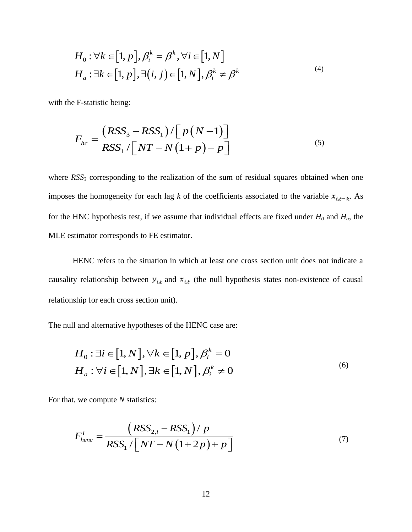$$
H_0: \forall k \in [1, p], \beta_i^k = \beta^k, \forall i \in [1, N]
$$
  

$$
H_a: \exists k \in [1, p], \exists (i, j) \in [1, N], \beta_i^k \neq \beta^k
$$
 (4)

with the F-statistic being:

$$
F_{hc} = \frac{\left(RSS_3 - RSS_1\right) / \left[p\left(N-1\right)\right]}{RSS_1 / \left[NT - N\left(1+p\right) - p\right]}
$$
\n<sup>(5)</sup>

[1, p],  $\beta_i^k = \beta^k$ ,  $\forall i \in [1, N]$ <br>
1, p],  $\exists (i, j) \in [1, N]$ ,  $\beta_i^k \neq$ <br>
ing:<br>
SS<sub>3</sub> - RSS<sub>1</sub>) / [p(N-1)]<br>
S<sub>1</sub> / [NT - N(1+ p) - p<br>
mding to the realization of the state is the coefficient of the state is the coefficient where  $RSS<sub>3</sub>$  corresponding to the realization of the sum of residual squares obtained when one imposes the homogeneity for each lag *k* of the coefficients associated to the variable  $x_{i,t-k}$ . As for the HNC hypothesis test, if we assume that individual effects are fixed under  $H_0$  and  $H_a$ , the MLE estimator corresponds to FE estimator.

HENC refers to the situation in which at least one cross section unit does not indicate a causality relationship between  $y_{i,t}$  and  $x_{i,t}$  (the null hypothesis states non-existence of causal relationship for each cross section unit).

The null and alternative hypotheses of the HENC case are:

$$
H_0: \exists i \in [1, N], \forall k \in [1, p], \beta_i^k = 0
$$
  

$$
H_a: \forall i \in [1, N], \exists k \in [1, N], \beta_i^k \neq 0
$$
 (6)

For that, we compute *N* statistics:

$$
F_{henc}^{i} = \frac{\left(RSS_{2,i} - RSS_1\right)/p}{RSS_1 / \left[NT - N\left(1 + 2p\right) + p\right]}
$$
\n<sup>(7)</sup>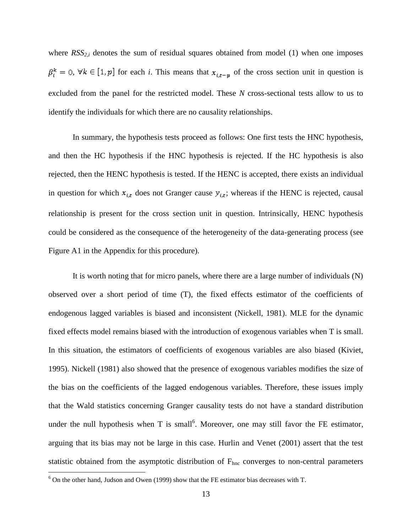where  $RSS_{2,i}$  denotes the sum of residual squares obtained from model (1) when one imposes  $\beta_i^k = 0$ ,  $\forall k \in [1, p]$  for each *i*. This means that  $x_{i,t-p}$  of the cross section unit in question is excluded from the panel for the restricted model. These *N* cross-sectional tests allow to us to identify the individuals for which there are no causality relationships.

In summary, the hypothesis tests proceed as follows: One first tests the HNC hypothesis, and then the HC hypothesis if the HNC hypothesis is rejected. If the HC hypothesis is also rejected, then the HENC hypothesis is tested. If the HENC is accepted, there exists an individual in question for which  $x_{i,t}$  does not Granger cause  $y_{i,t}$ ; whereas if the HENC is rejected, causal relationship is present for the cross section unit in question. Intrinsically, HENC hypothesis could be considered as the consequence of the heterogeneity of the data-generating process (see Figure A1 in the Appendix for this procedure).

It is worth noting that for micro panels, where there are a large number of individuals (N) observed over a short period of time (T), the fixed effects estimator of the coefficients of endogenous lagged variables is biased and inconsistent (Nickell, 1981). MLE for the dynamic fixed effects model remains biased with the introduction of exogenous variables when T is small. In this situation, the estimators of coefficients of exogenous variables are also biased (Kiviet, 1995). Nickell (1981) also showed that the presence of exogenous variables modifies the size of the bias on the coefficients of the lagged endogenous variables. Therefore, these issues imply that the Wald statistics concerning Granger causality tests do not have a standard distribution under the null hypothesis when T is small<sup>6</sup>. Moreover, one may still favor the FE estimator, arguing that its bias may not be large in this case. Hurlin and Venet (2001) assert that the test statistic obtained from the asymptotic distribution of  $F<sub>hnc</sub>$  converges to non-central parameters

 $\overline{\phantom{a}}$ 

 $6$  On the other hand, Judson and Owen (1999) show that the FE estimator bias decreases with T.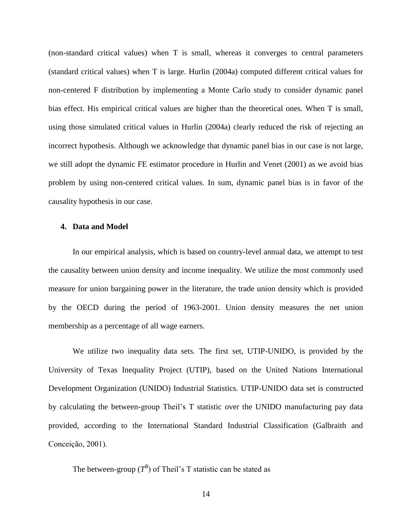(non-standard critical values) when T is small, whereas it converges to central parameters (standard critical values) when T is large. Hurlin (2004a) computed different critical values for non-centered F distribution by implementing a Monte Carlo study to consider dynamic panel bias effect. His empirical critical values are higher than the theoretical ones. When T is small, using those simulated critical values in Hurlin (2004a) clearly reduced the risk of rejecting an incorrect hypothesis. Although we acknowledge that dynamic panel bias in our case is not large, we still adopt the dynamic FE estimator procedure in Hurlin and Venet (2001) as we avoid bias problem by using non-centered critical values. In sum, dynamic panel bias is in favor of the causality hypothesis in our case.

#### **4. Data and Model**

In our empirical analysis, which is based on country-level annual data, we attempt to test the causality between union density and income inequality. We utilize the most commonly used measure for union bargaining power in the literature, the trade union density which is provided by the OECD during the period of 1963-2001. Union density measures the net union membership as a percentage of all wage earners.

We utilize two inequality data sets. The first set, UTIP-UNIDO, is provided by the University of Texas Inequality Project (UTIP), based on the United Nations International Development Organization (UNIDO) Industrial Statistics. UTIP-UNIDO data set is constructed by calculating the between-group Theil's T statistic over the UNIDO manufacturing pay data provided, according to the International Standard Industrial Classification (Galbraith and Conceição, 2001).

The between-group  $(T^B)$  of Theil's T statistic can be stated as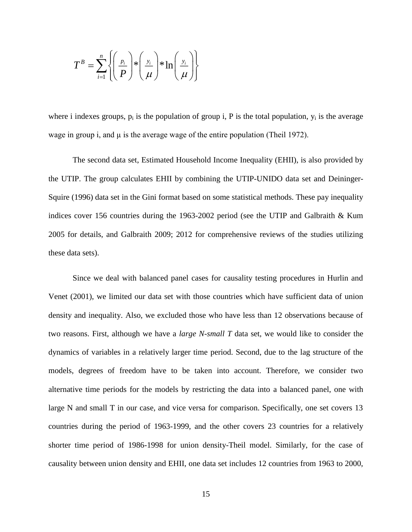$$
T^{B} = \sum_{i=1}^{n} \left\{ \left( \frac{p_{i}}{P} \right) * \left( \frac{y_{i}}{\mu} \right) * \ln \left( \frac{y_{i}}{\mu} \right) \right\}
$$

where i indexes groups,  $p_i$  is the population of group i, P is the total population,  $y_i$  is the average wage in group i, and  $\mu$  is the average wage of the entire population (Theil 1972).

The second data set, Estimated Household Income Inequality (EHII), is also provided by the UTIP. The group calculates EHII by combining the UTIP-UNIDO data set and Deininger-Squire (1996) data set in the Gini format based on some statistical methods. These pay inequality indices cover 156 countries during the 1963-2002 period (see the UTIP and Galbraith & Kum 2005 for details, and Galbraith 2009; 2012 for comprehensive reviews of the studies utilizing these data sets).

Since we deal with balanced panel cases for causality testing procedures in Hurlin and Venet (2001), we limited our data set with those countries which have sufficient data of union density and inequality. Also, we excluded those who have less than 12 observations because of two reasons. First, although we have a *large N-small T* data set, we would like to consider the dynamics of variables in a relatively larger time period. Second, due to the lag structure of the models, degrees of freedom have to be taken into account. Therefore, we consider two alternative time periods for the models by restricting the data into a balanced panel, one with large N and small T in our case, and vice versa for comparison. Specifically, one set covers 13 countries during the period of 1963-1999, and the other covers 23 countries for a relatively shorter time period of 1986-1998 for union density-Theil model. Similarly, for the case of causality between union density and EHII, one data set includes 12 countries from 1963 to 2000,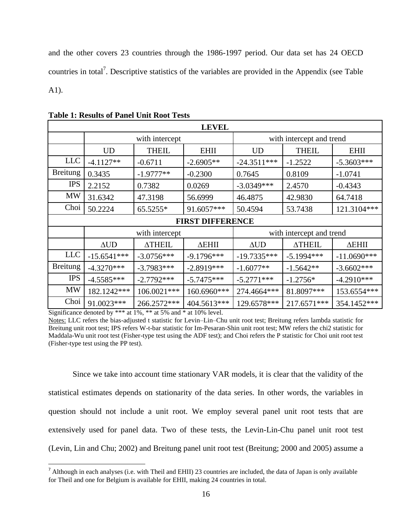and the other covers 23 countries through the 1986-1997 period. Our data set has 24 OECD countries in total<sup>7</sup>. Descriptive statistics of the variables are provided in the Appendix (see Table A1).

| <b>LEVEL</b>    |                                 |                |              |                          |               |               |  |  |  |  |  |
|-----------------|---------------------------------|----------------|--------------|--------------------------|---------------|---------------|--|--|--|--|--|
|                 |                                 | with intercept |              | with intercept and trend |               |               |  |  |  |  |  |
|                 | <b>UD</b>                       | <b>THEIL</b>   | <b>EHII</b>  | UD                       | <b>THEIL</b>  | <b>EHII</b>   |  |  |  |  |  |
| <b>LLC</b>      | $-4.1127**$                     | $-0.6711$      | $-2.6905**$  | $-24.3511***$            | $-1.2522$     | $-5.3603***$  |  |  |  |  |  |
| <b>Breitung</b> | 0.3435                          | $-1.9777**$    | $-0.2300$    | 0.7645                   | 0.8109        | $-1.0741$     |  |  |  |  |  |
| <b>IPS</b>      | 2.2152                          | 0.7382         | 0.0269       | $-3.0349***$             | 2.4570        | $-0.4343$     |  |  |  |  |  |
| <b>MW</b>       | 31.6342                         | 47.3198        | 56.6999      | 46.4875                  | 42.9830       | 64.7418       |  |  |  |  |  |
| Choi            | 50.2224                         | 65.5255*       | 91.6057***   | 50.4594                  | 53.7438       | 121.3104***   |  |  |  |  |  |
|                 | <b>FIRST DIFFERENCE</b>         |                |              |                          |               |               |  |  |  |  |  |
|                 |                                 | with intercept |              | with intercept and trend |               |               |  |  |  |  |  |
|                 | $\triangle$ UD<br><b>ATHEIL</b> |                | ΔEHII        | $\triangle$ UD           | <b>ATHEIL</b> | ΔEHII         |  |  |  |  |  |
| <b>LLC</b>      | $-15.6541***$                   | $-3.0756***$   | $-9.1796***$ | $-19.7335***$            | $-5.1994***$  | $-11.0690***$ |  |  |  |  |  |
| <b>Breitung</b> | $-4.3270***$                    | $-3.7983***$   | $-2.8919***$ | $-1.6077**$              | $-1.5642**$   | $-3.6602***$  |  |  |  |  |  |
| <b>IPS</b>      | $-4.5585***$                    | $-2.7792***$   | $-5.7475***$ | $-5.2771***$             | $-1.2756*$    | $-4.2910***$  |  |  |  |  |  |
| <b>MW</b>       | 182.1242***                     | 106.0021 ***   | 160.6960***  | 274.4664***              | 81.8097***    | 153.6554***   |  |  |  |  |  |
| Choi            | 91.0023***                      | 266.2572***    | 404.5613***  | 129.6578***              | 217.6571***   | 354.1452***   |  |  |  |  |  |

**Table 1: Results of Panel Unit Root Tests** 

Significance denoted by \*\*\* at 1%, \*\* at 5% and \* at 10% level.

l

Since we take into account time stationary VAR models, it is clear that the validity of the statistical estimates depends on stationarity of the data series. In other words, the variables in question should not include a unit root. We employ several panel unit root tests that are extensively used for panel data. Two of these tests, the Levin-Lin-Chu panel unit root test (Levin, Lin and Chu; 2002) and Breitung panel unit root test (Breitung; 2000 and 2005) assume a

Notes: LLC refers the bias-adjusted t statistic for Levin–Lin–Chu unit root test; Breitung refers lambda statistic for Breitung unit root test; IPS refers W-t-bar statistic for Im-Pesaran-Shin unit root test; MW refers the chi2 statistic for Maddala-Wu unit root test (Fisher-type test using the ADF test); and Choi refers the P statistic for Choi unit root test (Fisher-type test using the PP test).

 $<sup>7</sup>$  Although in each analyses (i.e. with Theil and EHII) 23 countries are included, the data of Japan is only available</sup> for Theil and one for Belgium is available for EHII, making 24 countries in total.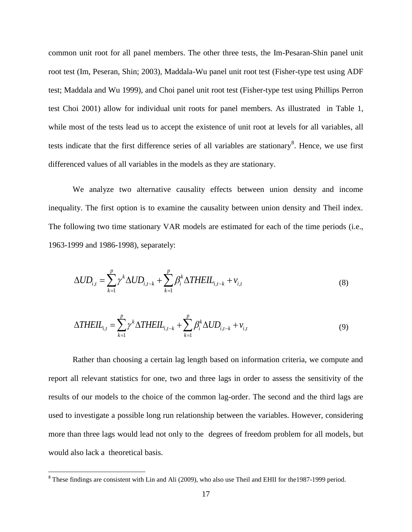common unit root for all panel members. The other three tests, the Im-Pesaran-Shin panel unit root test (Im, Peseran, Shin; 2003), Maddala-Wu panel unit root test (Fisher-type test using ADF test; Maddala and Wu 1999), and Choi panel unit root test (Fisher-type test using Phillips Perron test Choi 2001) allow for individual unit roots for panel members. As illustrated in Table 1, while most of the tests lead us to accept the existence of unit root at levels for all variables, all tests indicate that the first difference series of all variables are stationary<sup>8</sup>. Hence, we use first differenced values of all variables in the models as they are stationary.

We analyze two alternative causality effects between union density and income inequality. The first option is to examine the causality between union density and Theil index. The following two time stationary VAR models are estimated for each of the time periods (i.e., 1963-1999 and 1986-1998), separately:

$$
\Delta UD_{i,t} = \sum_{k=1}^{p} \gamma^{k} \Delta UD_{i,t-k} + \sum_{k=1}^{p} \beta_{i}^{k} \Delta THEIL_{i,t-k} + v_{i,t}
$$
\n(8)

$$
\Delta THEIL_{i,t} = \sum_{k=1}^{p} \gamma^k \Delta THEIL_{i,t-k} + \sum_{k=1}^{p} \beta_i^k \Delta UD_{i,t-k} + v_{i,t}
$$
(9)

Rather than choosing a certain lag length based on information criteria, we compute and report all relevant statistics for one, two and three lags in order to assess the sensitivity of the results of our models to the choice of the common lag-order. The second and the third lags are used to investigate a possible long run relationship between the variables. However, considering more than three lags would lead not only to the degrees of freedom problem for all models, but would also lack a theoretical basis.

 $\overline{\phantom{a}}$ 

<sup>&</sup>lt;sup>8</sup> These findings are consistent with Lin and Ali (2009), who also use Theil and EHII for the1987-1999 period.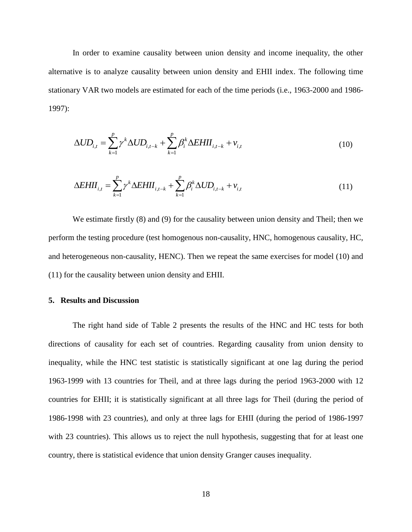In order to examine causality between union density and income inequality, the other alternative is to analyze causality between union density and EHII index. The following time stationary VAR two models are estimated for each of the time periods (i.e., 1963-2000 and 1986- 1997):

$$
\Delta UD_{i,t} = \sum_{k=1}^{p} \gamma^k \Delta UD_{i,t-k} + \sum_{k=1}^{p} \beta_i^k \Delta EHII_{i,t-k} + v_{i,t}
$$
\n(10)

$$
\Delta E H I I_{i,t} = \sum_{k=1}^{p} \gamma^k \Delta E H I_{i,t-k} + \sum_{k=1}^{p} \beta_i^k \Delta U D_{i,t-k} + v_{i,t}
$$
\n(11)

We estimate firstly (8) and (9) for the causality between union density and Theil; then we perform the testing procedure (test homogenous non-causality, HNC, homogenous causality, HC, and heterogeneous non-causality, HENC). Then we repeat the same exercises for model (10) and (11) for the causality between union density and EHII.

#### **5. Results and Discussion**

The right hand side of Table 2 presents the results of the HNC and HC tests for both directions of causality for each set of countries. Regarding causality from union density to inequality, while the HNC test statistic is statistically significant at one lag during the period 1963-1999 with 13 countries for Theil, and at three lags during the period 1963-2000 with 12 countries for EHII; it is statistically significant at all three lags for Theil (during the period of 1986-1998 with 23 countries), and only at three lags for EHII (during the period of 1986-1997 with 23 countries). This allows us to reject the null hypothesis, suggesting that for at least one country, there is statistical evidence that union density Granger causes inequality.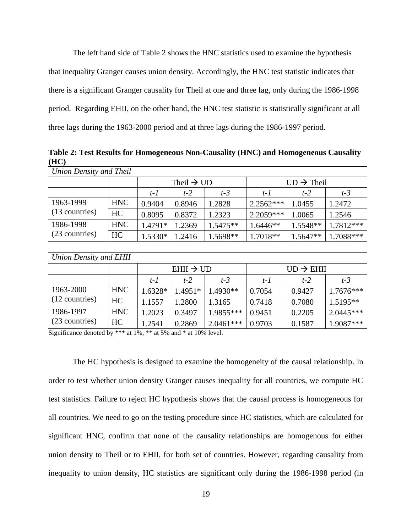The left hand side of Table 2 shows the HNC statistics used to examine the hypothesis that inequality Granger causes union density. Accordingly, the HNC test statistic indicates that there is a significant Granger causality for Theil at one and three lag, only during the 1986-1998 period. Regarding EHII, on the other hand, the HNC test statistic is statistically significant at all three lags during the 1963-2000 period and at three lags during the 1986-1997 period.

**Table 2: Test Results for Homogeneous Non-Causality (HNC) and Homogeneous Causality (HC)**

| Union Density and Theil |            |                       |                        |             |                        |          |             |  |  |  |  |
|-------------------------|------------|-----------------------|------------------------|-------------|------------------------|----------|-------------|--|--|--|--|
|                         |            |                       | Theil $\rightarrow$ UD |             | $UD \rightarrow$ Theil |          |             |  |  |  |  |
|                         |            | $t-2$<br>$t-1$        |                        | $t-3$       | $t-1$                  | $t-2$    | $t-3$       |  |  |  |  |
| 1963-1999               | <b>HNC</b> | 0.9404                | 0.8946                 | 1.2828      | 2.2562***              | 1.0455   | 1.2472      |  |  |  |  |
| (13 countries)          | HC         | 0.8095                | 0.8372                 | 1.2323      | 2.2059***              | 1.0065   | 1.2546      |  |  |  |  |
| 1986-1998               | <b>HNC</b> | 1.4791*               | 1.2369                 | 1.5475**    | $1.6446**$             | 1.5548** | 1.7812***   |  |  |  |  |
| (23 countries)          | HC         | 1.5330*               | 1.2416                 | 1.5698**    | 1.7018**               | 1.5647** | 1.7088***   |  |  |  |  |
|                         |            |                       |                        |             |                        |          |             |  |  |  |  |
| Union Density and EHII  |            |                       |                        |             |                        |          |             |  |  |  |  |
|                         |            | $EHII \rightarrow UD$ |                        |             | $UD \rightarrow EHII$  |          |             |  |  |  |  |
|                         |            | $t-1$                 | $t-2$                  | $t-3$       | $t-1$                  | $t-2$    | $t-3$       |  |  |  |  |
| 1963-2000               | <b>HNC</b> | 1.6328*               | 1.4951*                | 1.4930**    | 0.7054                 | 0.9427   | $1.7676***$ |  |  |  |  |
| (12 countries)          | HC         | 1.1557                | 1.2800                 | 1.3165      | 0.7418                 | 0.7080   | 1.5195**    |  |  |  |  |
| 1986-1997               | <b>HNC</b> | 1.2023                | 0.3497                 | 1.9855***   | 0.9451                 | 0.2205   | $2.0445***$ |  |  |  |  |
| (23 countries)          | HC         | 1.2541                | 0.2869                 | $2.0461***$ | 0.9703                 | 0.1587   | 1.9087***   |  |  |  |  |

Significance denoted by \*\*\* at 1%, \*\* at 5% and \* at 10% level.

The HC hypothesis is designed to examine the homogeneity of the causal relationship. In order to test whether union density Granger causes inequality for all countries, we compute HC test statistics. Failure to reject HC hypothesis shows that the causal process is homogeneous for all countries. We need to go on the testing procedure since HC statistics, which are calculated for significant HNC, confirm that none of the causality relationships are homogenous for either union density to Theil or to EHII, for both set of countries. However, regarding causality from inequality to union density, HC statistics are significant only during the 1986-1998 period (in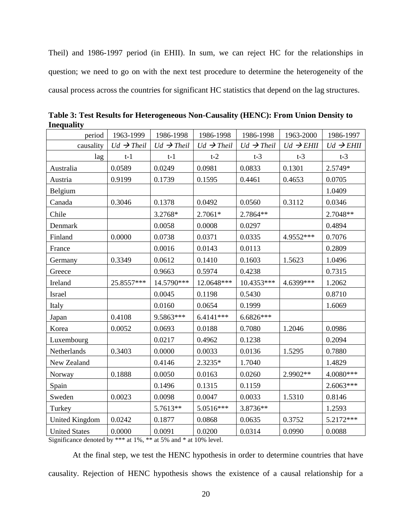Theil) and 1986-1997 period (in EHII). In sum, we can reject HC for the relationships in question; we need to go on with the next test procedure to determine the heterogeneity of the causal process across the countries for significant HC statistics that depend on the lag structures.

| 1963-1999<br>period   |                        | 1986-1998              | 1986-1998              | 1986-1998              | 1963-2000             | 1986-1997             |
|-----------------------|------------------------|------------------------|------------------------|------------------------|-----------------------|-----------------------|
| causality             | $Ud \rightarrow$ Theil | $Ud \rightarrow$ Theil | $Ud \rightarrow$ Theil | $Ud \rightarrow$ Theil | $Ud \rightarrow EHII$ | $Ud \rightarrow EHII$ |
| lag                   | $t-1$                  | $t-1$                  | $t-2$                  | $t-3$                  | $t-3$                 | $t-3$                 |
| Australia             | 0.0589                 | 0.0249                 | 0.0981                 | 0.0833                 | 0.1301                | 2.5749*               |
| Austria               | 0.9199                 | 0.1739                 | 0.1595                 | 0.4461                 | 0.4653                | 0.0705                |
| Belgium               |                        |                        |                        |                        |                       | 1.0409                |
| Canada                | 0.3046                 | 0.1378                 | 0.0492                 | 0.0560                 | 0.3112                | 0.0346                |
| Chile                 |                        | 3.2768*                | 2.7061*                | 2.7864**               |                       | 2.7048**              |
| Denmark               |                        | 0.0058                 | 0.0008                 | 0.0297                 |                       | 0.4894                |
| Finland               | 0.0000                 | 0.0738                 | 0.0371                 | 0.0335                 | 4.9552***             | 0.7076                |
| France                |                        | 0.0016                 | 0.0143                 | 0.0113                 |                       | 0.2809                |
| Germany               | 0.3349                 | 0.0612                 | 0.1410                 | 0.1603                 | 1.5623                | 1.0496                |
| Greece                |                        | 0.9663                 | 0.5974                 | 0.4238                 |                       | 0.7315                |
| Ireland               | 25.8557***             | 14.5790***             | 12.0648***             | 10.4353***             | 4.6399***             | 1.2062                |
| Israel                |                        | 0.0045                 | 0.1198                 | 0.5430                 |                       | 0.8710                |
| Italy                 |                        | 0.0160                 | 0.0654                 | 0.1999                 |                       | 1.6069                |
| Japan                 | 0.4108                 | 9.5863***              | $6.4141***$            | 6.6826***              |                       |                       |
| Korea                 | 0.0052                 | 0.0693                 | 0.0188                 | 0.7080                 | 1.2046                | 0.0986                |
| Luxembourg            |                        | 0.0217                 | 0.4962                 | 0.1238                 |                       | 0.2094                |
| Netherlands           | 0.3403                 | 0.0000                 | 0.0033                 | 0.0136                 | 1.5295                | 0.7880                |
| New Zealand           |                        | 0.4146                 | $2.3235*$              | 1.7040                 |                       | 1.4829                |
| Norway                | 0.1888                 | 0.0050                 | 0.0163                 | 0.0260                 | 2.9902**              | $4.0080***$           |
| Spain                 |                        | 0.1496                 | 0.1315                 | 0.1159                 |                       | 2.6063***             |
| Sweden                | 0.0023                 | 0.0098                 | 0.0047                 | 0.0033                 | 1.5310                | 0.8146                |
| Turkey                |                        | 5.7613**               | 5.0516***              | 3.8736**               |                       | 1.2593                |
| <b>United Kingdom</b> | 0.0242                 | 0.1877                 | 0.0868                 | 0.0635                 | 0.3752                | 5.2172***             |
| <b>United States</b>  | 0.0000                 | 0.0091                 | 0.0200                 | 0.0314                 | 0.0990                | 0.0088                |

**Table 3: Test Results for Heterogeneous Non-Causality (HENC): From Union Density to Inequality**

Significance denoted by \*\*\* at 1%, \*\* at 5% and \* at 10% level.

At the final step, we test the HENC hypothesis in order to determine countries that have causality. Rejection of HENC hypothesis shows the existence of a causal relationship for a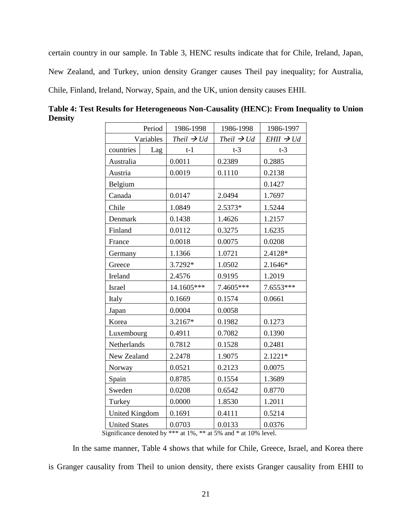certain country in our sample. In Table 3, HENC results indicate that for Chile, Ireland, Japan, New Zealand, and Turkey, union density Granger causes Theil pay inequality; for Australia, Chile, Finland, Ireland, Norway, Spain, and the UK, union density causes EHII.

| Period                | 1986-1998              | 1986-1998              | 1986-1997             |  |  |
|-----------------------|------------------------|------------------------|-----------------------|--|--|
| Variables             | Theil $\rightarrow$ Ud | Theil $\rightarrow$ Ud | $EHII \rightarrow Ud$ |  |  |
| countries<br>Lag      | $t-1$                  | $t-3$                  | $t-3$                 |  |  |
| Australia             | 0.0011                 | 0.2389                 | 0.2885                |  |  |
| Austria               | 0.0019                 | 0.1110                 | 0.2138                |  |  |
| Belgium               |                        |                        | 0.1427                |  |  |
| Canada                | 0.0147                 | 2.0494                 | 1.7697                |  |  |
| Chile                 | 1.0849                 | 2.5373*                | 1.5244                |  |  |
| Denmark               | 0.1438                 | 1.4626                 | 1.2157                |  |  |
| Finland               | 0.0112                 | 0.3275                 | 1.6235                |  |  |
| France                | 0.0018                 | 0.0075                 | 0.0208                |  |  |
| Germany               | 1.1366                 | 1.0721                 | 2.4128*               |  |  |
| Greece                | 3.7292*                | 1.0502                 | 2.1646*               |  |  |
| Ireland               | 2.4576                 | 0.9195                 | 1.2019                |  |  |
| <b>Israel</b>         | 14.1605***             | 7.4605***              | 7.6553***             |  |  |
| Italy                 | 0.1669                 | 0.1574                 | 0.0661                |  |  |
| Japan                 | 0.0004                 | 0.0058                 |                       |  |  |
| Korea                 | 3.2167*                | 0.1982                 | 0.1273                |  |  |
| Luxembourg            | 0.4911                 | 0.7082                 | 0.1390                |  |  |
| Netherlands           | 0.7812                 | 0.1528                 | 0.2481                |  |  |
| New Zealand           | 2.2478                 | 1.9075                 | 2.1221*               |  |  |
| Norway                | 0.0521                 | 0.2123                 | 0.0075                |  |  |
| Spain                 | 0.8785                 | 0.1554                 | 1.3689                |  |  |
| Sweden                | 0.0208                 | 0.6542                 | 0.8770                |  |  |
| Turkey                | 0.0000                 | 1.8530                 | 1.2011                |  |  |
| <b>United Kingdom</b> | 0.1691                 | 0.4111                 | 0.5214                |  |  |
| <b>United States</b>  | 0.0703                 | 0.0133                 | 0.0376                |  |  |

**Table 4: Test Results for Heterogeneous Non-Causality (HENC): From Inequality to Union Density**

Significance denoted by \*\*\* at 1%, \*\* at 5% and \* at 10% level.

In the same manner, Table 4 shows that while for Chile, Greece, Israel, and Korea there is Granger causality from Theil to union density, there exists Granger causality from EHII to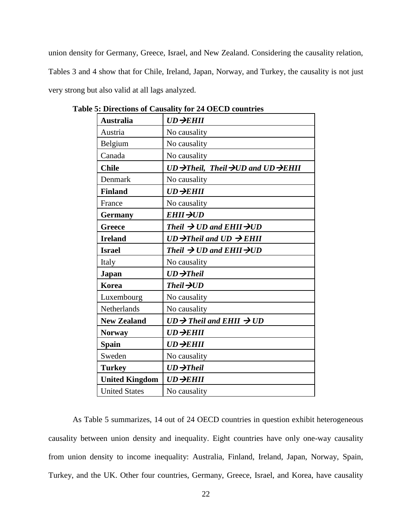union density for Germany, Greece, Israel, and New Zealand. Considering the causality relation, Tables 3 and 4 show that for Chile, Ireland, Japan, Norway, and Turkey, the causality is not just very strong but also valid at all lags analyzed.

| <b>Australia</b>      | $UD \rightarrow EHII$                                                    |
|-----------------------|--------------------------------------------------------------------------|
| Austria               | No causality                                                             |
| Belgium               | No causality                                                             |
| Canada                | No causality                                                             |
| <b>Chile</b>          | $UD \rightarrow$ Theil, Theil $\rightarrow$ UD and UD $\rightarrow$ EHII |
| Denmark               | No causality                                                             |
| <b>Finland</b>        | $UD \rightarrow EHII$                                                    |
| France                | No causality                                                             |
| <b>Germany</b>        | $EHII \rightarrow UD$                                                    |
| <b>Greece</b>         | Theil $\rightarrow$ UD and EHII $\rightarrow$ UD                         |
| <b>Ireland</b>        | $UD \rightarrow$ Theil and $UD \rightarrow$ EHII                         |
| <b>Israel</b>         | Theil $\rightarrow$ UD and EHII $\rightarrow$ UD                         |
| Italy                 | No causality                                                             |
| <b>Japan</b>          | $UD \rightarrow$ Theil                                                   |
| <b>Korea</b>          | Theil $\rightarrow$ UD                                                   |
| Luxembourg            | No causality                                                             |
| Netherlands           | No causality                                                             |
| <b>New Zealand</b>    | $UD \rightarrow$ Theil and EHII $\rightarrow$ UD                         |
| <b>Norway</b>         | $UD \rightarrow EHII$                                                    |
| <b>Spain</b>          | $UD \rightarrow EHII$                                                    |
| Sweden                | No causality                                                             |
| <b>Turkey</b>         | $UD \rightarrow$ Theil                                                   |
| <b>United Kingdom</b> | $UD \rightarrow EHII$                                                    |
| <b>United States</b>  | No causality                                                             |

**Table 5: Directions of Causality for 24 OECD countries**

As Table 5 summarizes, 14 out of 24 OECD countries in question exhibit heterogeneous causality between union density and inequality. Eight countries have only one-way causality from union density to income inequality: Australia, Finland, Ireland, Japan, Norway, Spain, Turkey, and the UK. Other four countries, Germany, Greece, Israel, and Korea, have causality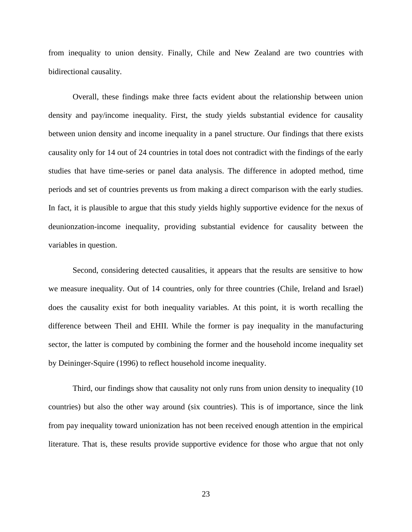from inequality to union density. Finally, Chile and New Zealand are two countries with bidirectional causality.

Overall, these findings make three facts evident about the relationship between union density and pay/income inequality. First, the study yields substantial evidence for causality between union density and income inequality in a panel structure. Our findings that there exists causality only for 14 out of 24 countries in total does not contradict with the findings of the early studies that have time-series or panel data analysis. The difference in adopted method, time periods and set of countries prevents us from making a direct comparison with the early studies. In fact, it is plausible to argue that this study yields highly supportive evidence for the nexus of deunionzation-income inequality, providing substantial evidence for causality between the variables in question.

Second, considering detected causalities, it appears that the results are sensitive to how we measure inequality. Out of 14 countries, only for three countries (Chile, Ireland and Israel) does the causality exist for both inequality variables. At this point, it is worth recalling the difference between Theil and EHII. While the former is pay inequality in the manufacturing sector, the latter is computed by combining the former and the household income inequality set by Deininger-Squire (1996) to reflect household income inequality.

Third, our findings show that causality not only runs from union density to inequality (10 countries) but also the other way around (six countries). This is of importance, since the link from pay inequality toward unionization has not been received enough attention in the empirical literature. That is, these results provide supportive evidence for those who argue that not only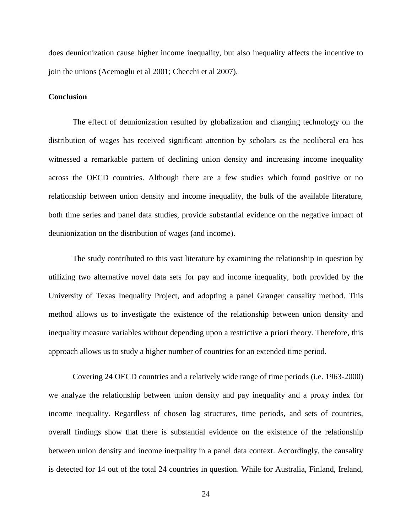does deunionization cause higher income inequality, but also inequality affects the incentive to join the unions (Acemoglu et al 2001; Checchi et al 2007).

#### **Conclusion**

The effect of deunionization resulted by globalization and changing technology on the distribution of wages has received significant attention by scholars as the neoliberal era has witnessed a remarkable pattern of declining union density and increasing income inequality across the OECD countries. Although there are a few studies which found positive or no relationship between union density and income inequality, the bulk of the available literature, both time series and panel data studies, provide substantial evidence on the negative impact of deunionization on the distribution of wages (and income).

The study contributed to this vast literature by examining the relationship in question by utilizing two alternative novel data sets for pay and income inequality, both provided by the University of Texas Inequality Project, and adopting a panel Granger causality method. This method allows us to investigate the existence of the relationship between union density and inequality measure variables without depending upon a restrictive a priori theory. Therefore, this approach allows us to study a higher number of countries for an extended time period.

Covering 24 OECD countries and a relatively wide range of time periods (i.e. 1963-2000) we analyze the relationship between union density and pay inequality and a proxy index for income inequality. Regardless of chosen lag structures, time periods, and sets of countries, overall findings show that there is substantial evidence on the existence of the relationship between union density and income inequality in a panel data context. Accordingly, the causality is detected for 14 out of the total 24 countries in question. While for Australia, Finland, Ireland,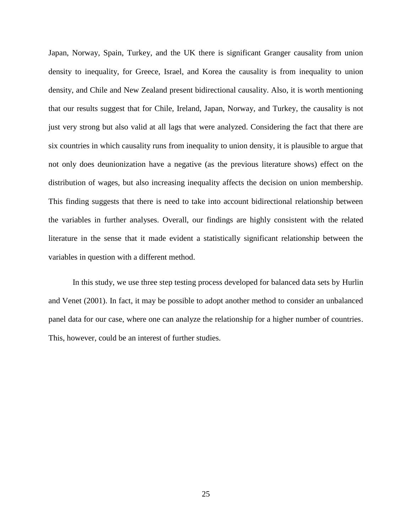Japan, Norway, Spain, Turkey, and the UK there is significant Granger causality from union density to inequality, for Greece, Israel, and Korea the causality is from inequality to union density, and Chile and New Zealand present bidirectional causality. Also, it is worth mentioning that our results suggest that for Chile, Ireland, Japan, Norway, and Turkey, the causality is not just very strong but also valid at all lags that were analyzed. Considering the fact that there are six countries in which causality runs from inequality to union density, it is plausible to argue that not only does deunionization have a negative (as the previous literature shows) effect on the distribution of wages, but also increasing inequality affects the decision on union membership. This finding suggests that there is need to take into account bidirectional relationship between the variables in further analyses. Overall, our findings are highly consistent with the related literature in the sense that it made evident a statistically significant relationship between the variables in question with a different method.

In this study, we use three step testing process developed for balanced data sets by Hurlin and Venet (2001). In fact, it may be possible to adopt another method to consider an unbalanced panel data for our case, where one can analyze the relationship for a higher number of countries. This, however, could be an interest of further studies.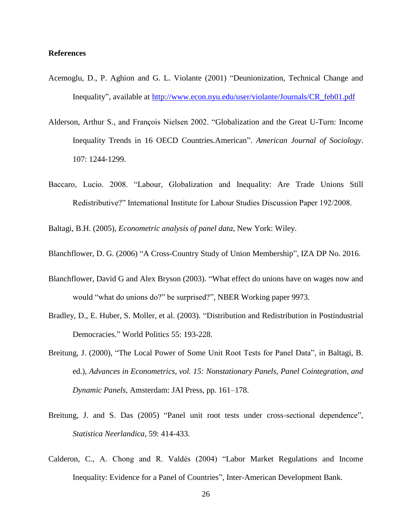#### **References**

- Acemoglu, D., P. Aghion and G. L. Violante (2001) "Deunionization, Technical Change and Inequality", available at [http://www.econ.nyu.edu/user/violante/Journals/CR\\_feb01.pdf](http://www.econ.nyu.edu/user/violante/Journals/CR_feb01.pdf)
- Alderson, Arthur S., and François Nielsen 2002. "Globalization and the Great U-Turn: Income Inequality Trends in 16 OECD Countries.American". *American Journal of Sociology*. 107: 1244-1299.
- Baccaro, Lucio. 2008. "Labour, Globalization and Inequality: Are Trade Unions Still Redistributive?" International Institute for Labour Studies Discussion Paper 192/2008.

Baltagi, B.H. (2005), *Econometric analysis of panel data*, New York: Wiley.

Blanchflower, D. G. (2006) "A Cross-Country Study of Union Membership", IZA DP No. 2016.

- Blanchflower, David G and Alex Bryson (2003). "What effect do unions have on wages now and would "what do unions do?" be surprised?", NBER Working paper 9973.
- Bradley, D., E. Huber, S. Moller, et al. (2003). "Distribution and Redistribution in Postindustrial Democracies." World Politics 55: 193-228.
- Breitung, J. (2000), "The Local Power of Some Unit Root Tests for Panel Data", in Baltagi, B. ed.), *Advances in Econometrics, vol. 15: Nonstationary Panels, Panel Cointegration, and Dynamic Panels*, Amsterdam: JAI Press, pp. 161–178.
- Breitung, J. and S. Das (2005) "Panel unit root tests under cross-sectional dependence", *Statistica Neerlandica*, 59: 414-433.
- Calderon, C., A. Chong and R. Valdés (2004) "Labor Market Regulations and Income Inequality: Evidence for a Panel of Countries", Inter-American Development Bank.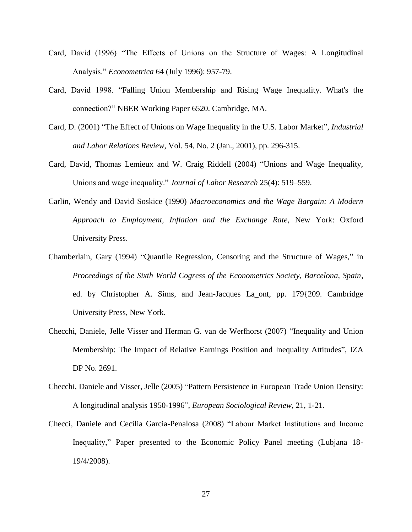- Card, David (1996) "The Effects of Unions on the Structure of Wages: A Longitudinal Analysis." *Econometrica* 64 (July 1996): 957-79.
- Card, David 1998. "Falling Union Membership and Rising Wage Inequality. What's the connection?" NBER Working Paper 6520. Cambridge, MA.
- Card, D. (2001) "The Effect of Unions on Wage Inequality in the U.S. Labor Market", *Industrial and Labor Relations Review*, Vol. 54, No. 2 (Jan., 2001), pp. 296-315.
- Card, David, Thomas Lemieux and W. Craig Riddell (2004) "Unions and Wage Inequality, Unions and wage inequality." *Journal of Labor Research* 25(4): 519–559.
- Carlin, Wendy and David Soskice (1990) *Macroeconomics and the Wage Bargain: A Modern Approach to Employment, Inflation and the Exchange Rate*, New York: Oxford University Press.
- Chamberlain, Gary (1994) "Quantile Regression, Censoring and the Structure of Wages," in *Proceedings of the Sixth World Cogress of the Econometrics Society, Barcelona, Spain*, ed. by Christopher A. Sims, and Jean-Jacques La\_ont, pp. 179{209. Cambridge University Press, New York.
- Checchi, Daniele, Jelle Visser and Herman G. van de Werfhorst (2007) "Inequality and Union Membership: The Impact of Relative Earnings Position and Inequality Attitudes", IZA DP No. 2691.
- Checchi, Daniele and Visser, Jelle (2005) "Pattern Persistence in European Trade Union Density: A longitudinal analysis 1950-1996", *European Sociological Review*, 21, 1-21.
- Checci, Daniele and Cecilia Garcia-Penalosa (2008) "Labour Market Institutions and Income Inequality," Paper presented to the Economic Policy Panel meeting (Lubjana 18- 19/4/2008).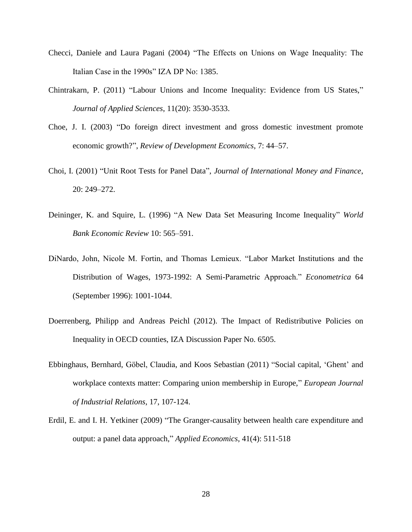- Checci, Daniele and Laura Pagani (2004) "The Effects on Unions on Wage Inequality: The Italian Case in the 1990s" IZA DP No: 1385.
- Chintrakarn, P. (2011) "Labour Unions and Income Inequality: Evidence from US States," *Journal of Applied Sciences*, 11(20): 3530-3533.
- Choe, J. I. (2003) "Do foreign direct investment and gross domestic investment promote economic growth?", *Review of Development Economics*, 7: 44–57.
- Choi, I. (2001) "Unit Root Tests for Panel Data", *Journal of International Money and Finance*, 20: 249–272.
- Deininger, K. and Squire, L. (1996) "A New Data Set Measuring Income Inequality" *World Bank Economic Review* 10: 565–591.
- DiNardo, John, Nicole M. Fortin, and Thomas Lemieux. "Labor Market Institutions and the Distribution of Wages, 1973-1992: A Semi-Parametric Approach." *Econometrica* 64 (September 1996): 1001-1044.
- Doerrenberg, Philipp and Andreas Peichl (2012). The Impact of Redistributive Policies on Inequality in OECD counties, IZA Discussion Paper No. 6505.
- Ebbinghaus, Bernhard, Göbel, Claudia, and Koos Sebastian (2011) "Social capital, 'Ghent' and workplace contexts matter: Comparing union membership in Europe," *European Journal of Industrial Relations*, 17, 107-124.
- Erdil, E. and I. H. Yetkiner (2009) "The Granger-causality between health care expenditure and output: a panel data approach," *Applied Economics*, 41(4): 511-518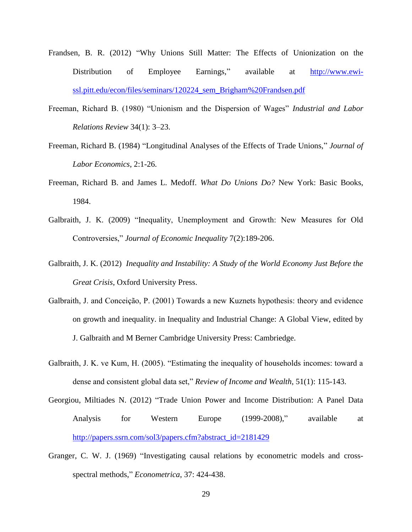- Frandsen, B. R. (2012) "Why Unions Still Matter: The Effects of Unionization on the Distribution of Employee Earnings," available at [http://www.ewi](http://www.ewi-ssl.pitt.edu/econ/files/seminars/120224_sem_Brigham%20Frandsen.pdf)[ssl.pitt.edu/econ/files/seminars/120224\\_sem\\_Brigham%20Frandsen.pdf](http://www.ewi-ssl.pitt.edu/econ/files/seminars/120224_sem_Brigham%20Frandsen.pdf)
- Freeman, Richard B. (1980) "Unionism and the Dispersion of Wages" *Industrial and Labor Relations Review* 34(1): 3–23.
- Freeman, Richard B. (1984) "Longitudinal Analyses of the Effects of Trade Unions," *Journal of Labor Economics*, 2:1-26.
- Freeman, Richard B. and James L. Medoff. *What Do Unions Do?* New York: Basic Books, 1984.
- Galbraith, J. K. (2009) "Inequality, Unemployment and Growth: New Measures for Old Controversies," *Journal of Economic Inequality* 7(2):189-206.
- Galbraith, J. K. (2012) *Inequality and Instability: A Study of the World Economy Just Before the Great Crisis*, Oxford University Press.
- Galbraith, J. and Conceição, P. (2001) Towards a new Kuznets hypothesis: theory and evidence on growth and inequality. in Inequality and Industrial Change: A Global View, edited by J. Galbraith and M Berner Cambridge University Press: Cambriedge.
- Galbraith, J. K. ve Kum, H. (2005). "Estimating the inequality of households incomes: toward a dense and consistent global data set," *Review of Income and Wealth*, 51(1): 115-143.
- Georgiou, Miltiades N. (2012) "Trade Union Power and Income Distribution: A Panel Data Analysis for Western Europe (1999-2008)," available at [http://papers.ssrn.com/sol3/papers.cfm?abstract\\_id=2181429](http://papers.ssrn.com/sol3/papers.cfm?abstract_id=2181429)
- Granger, C. W. J. (1969) "Investigating causal relations by econometric models and crossspectral methods," *Econometrica*, 37: 424-438.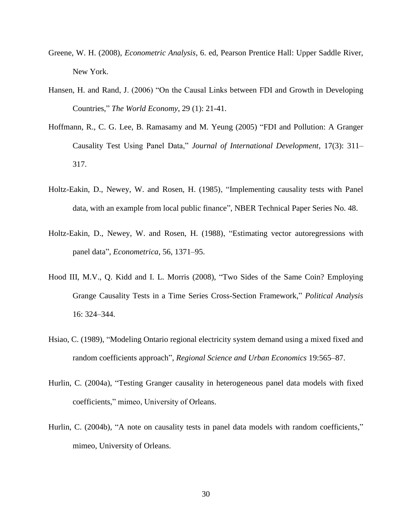- Greene, W. H. (2008), *Econometric Analysis*, 6. ed, Pearson Prentice Hall: Upper Saddle River, New York.
- Hansen, H. and Rand, J. (2006) "On the Causal Links between FDI and Growth in Developing Countries," *The World Economy*, 29 (1): 21-41.
- Hoffmann, R., C. G. Lee, B. Ramasamy and M. Yeung (2005) "FDI and Pollution: A Granger Causality Test Using Panel Data," *Journal of International Development*, 17(3): 311– 317.
- Holtz-Eakin, D., Newey, W. and Rosen, H. (1985), "Implementing causality tests with Panel data, with an example from local public finance", NBER Technical Paper Series No. 48.
- Holtz-Eakin, D., Newey, W. and Rosen, H. (1988), "Estimating vector autoregressions with panel data", *Econometrica*, 56, 1371–95.
- Hood III, M.V., Q. Kidd and I. L. Morris (2008), "Two Sides of the Same Coin? Employing Grange Causality Tests in a Time Series Cross-Section Framework," *Political Analysis* 16: 324–344.
- Hsiao, C. (1989), "Modeling Ontario regional electricity system demand using a mixed fixed and random coefficients approach", *Regional Science and Urban Economics* 19:565–87.
- Hurlin, C. (2004a), "Testing Granger causality in heterogeneous panel data models with fixed coefficients," mimeo, University of Orleans.
- Hurlin, C. (2004b), "A note on causality tests in panel data models with random coefficients," mimeo, University of Orleans.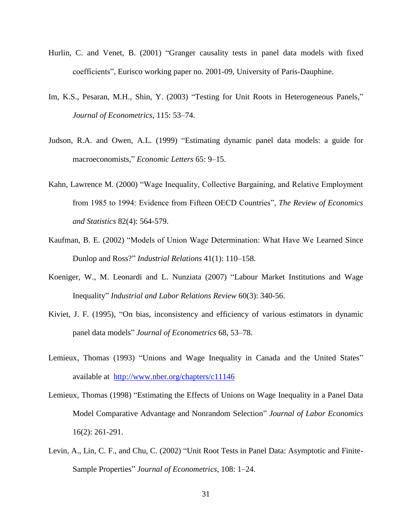- Hurlin, C. and Venet, B. (2001) "Granger causality tests in panel data models with fixed coefficients", Eurisco working paper no. 2001-09, University of Paris-Dauphine.
- Im, K.S., Pesaran, M.H., Shin, Y. (2003) "Testing for Unit Roots in Heterogeneous Panels," *Journal of Econometrics*, 115: 53–74.
- Judson, R.A. and Owen, A.L. (1999) "Estimating dynamic panel data models: a guide for macroeconomists," *Economic Letters* 65: 9–15.
- Kahn, Lawrence M. (2000) "Wage Inequality, Collective Bargaining, and Relative Employment from 1985 to 1994: Evidence from Fifteen OECD Countries", *The Review of Economics and Statistics* 82(4): 564-579.
- Kaufman, B. E. (2002) "Models of Union Wage Determination: What Have We Learned Since Dunlop and Ross?" *Industrial Relations* 41(1): 110–158.
- Koeniger, W., M. Leonardi and L. Nunziata (2007) "Labour Market Institutions and Wage Inequality" *Industrial and Labor Relations Review* 60(3): 340-56.
- Kiviet, J. F. (1995), "On bias, inconsistency and efficiency of various estimators in dynamic panel data models" *Journal of Econometrics* 68, 53–78.
- Lemieux, Thomas (1993) "Unions and Wage Inequality in Canada and the United States" available at <http://www.nber.org/chapters/c11146>
- Lemieux, Thomas (1998) "Estimating the Effects of Unions on Wage Inequality in a Panel Data Model Comparative Advantage and Nonrandom Selection" *Journal of Labor Economics* 16(2): 261-291.
- Levin, A., Lin, C. F., and Chu, C. (2002) "Unit Root Tests in Panel Data: Asymptotic and Finite-Sample Properties" *Journal of Econometrics*, 108: 1–24.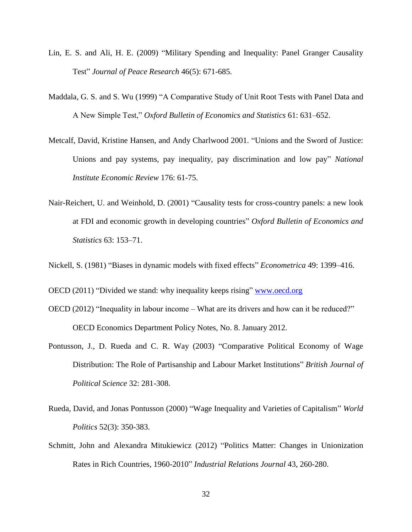- Lin, E. S. and Ali, H. E. (2009) "Military Spending and Inequality: Panel Granger Causality Test" *Journal of Peace Research* 46(5): 671-685.
- Maddala, G. S. and S. Wu (1999) "A Comparative Study of Unit Root Tests with Panel Data and A New Simple Test," *Oxford Bulletin of Economics and Statistics* 61: 631–652.
- Metcalf, David, Kristine Hansen, and Andy Charlwood 2001. "Unions and the Sword of Justice: Unions and pay systems, pay inequality, pay discrimination and low pay" *National Institute Economic Review* 176: 61-75.
- Nair-Reichert, U. and Weinhold, D. (2001) "Causality tests for cross-country panels: a new look at FDI and economic growth in developing countries" *Oxford Bulletin of Economics and Statistics* 63: 153–71.
- Nickell, S. (1981) "Biases in dynamic models with fixed effects" *Econometrica* 49: 1399–416.
- OECD (2011) "Divided we stand: why inequality keeps rising" [www.oecd.org](http://www.oecd.org/)
- OECD (2012) "Inequality in labour income What are its drivers and how can it be reduced?" OECD Economics Department Policy Notes, No. 8. January 2012.
- Pontusson, J., D. Rueda and C. R. Way (2003) "Comparative Political Economy of Wage Distribution: The Role of Partisanship and Labour Market Institutions" *British Journal of Political Science* 32: 281-308.
- Rueda, David, and Jonas Pontusson (2000) "Wage Inequality and Varieties of Capitalism" *World Politics* 52(3): 350-383.
- Schmitt, John and Alexandra Mitukiewicz (2012) "Politics Matter: Changes in Unionization Rates in Rich Countries, 1960-2010" *Industrial Relations Journal* 43, 260-280.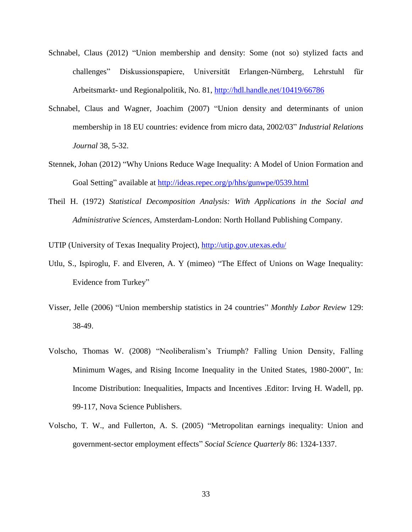- Schnabel, Claus (2012) "Union membership and density: Some (not so) stylized facts and challenges" Diskussionspapiere, Universität Erlangen-Nürnberg, Lehrstuhl für Arbeitsmarkt- und Regionalpolitik, No. 81,<http://hdl.handle.net/10419/66786>
- Schnabel, Claus and Wagner, Joachim (2007) "Union density and determinants of union membership in 18 EU countries: evidence from micro data, 2002/03" *Industrial Relations Journal* 38, 5-32.
- Stennek, Johan (2012) "Why Unions Reduce Wage Inequality: A Model of Union Formation and Goal Setting" available at<http://ideas.repec.org/p/hhs/gunwpe/0539.html>
- Theil H. (1972) *Statistical Decomposition Analysis: With Applications in the Social and Administrative Sciences*, Amsterdam-London: North Holland Publishing Company.

UTIP (University of Texas Inequality Project),<http://utip.gov.utexas.edu/>

- Utlu, S., Ispiroglu, F. and Elveren, A. Y (mimeo) "The Effect of Unions on Wage Inequality: Evidence from Turkey"
- Visser, Jelle (2006) "Union membership statistics in 24 countries" *Monthly Labor Review* 129: 38-49.
- Volscho, Thomas W. (2008) "Neoliberalism's Triumph? Falling Union Density, Falling Minimum Wages, and Rising Income Inequality in the United States, 1980-2000", In: Income Distribution: Inequalities, Impacts and Incentives .Editor: Irving H. Wadell, pp. 99-117, Nova Science Publishers.
- Volscho, T. W., and Fullerton, A. S. (2005) "Metropolitan earnings inequality: Union and government-sector employment effects" *Social Science Quarterly* 86: 1324-1337.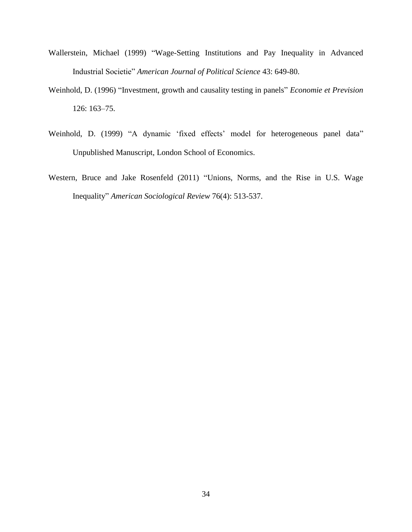- Wallerstein, Michael (1999) "Wage-Setting Institutions and Pay Inequality in Advanced Industrial Societie" *American Journal of Political Science* 43: 649-80.
- Weinhold, D. (1996) "Investment, growth and causality testing in panels" *Economie et Prevision* 126: 163–75.
- Weinhold, D. (1999) "A dynamic 'fixed effects' model for heterogeneous panel data" Unpublished Manuscript, London School of Economics.
- Western, Bruce and Jake Rosenfeld (2011) "Unions, Norms, and the Rise in U.S. Wage Inequality" *American Sociological Review* 76(4): 513-537.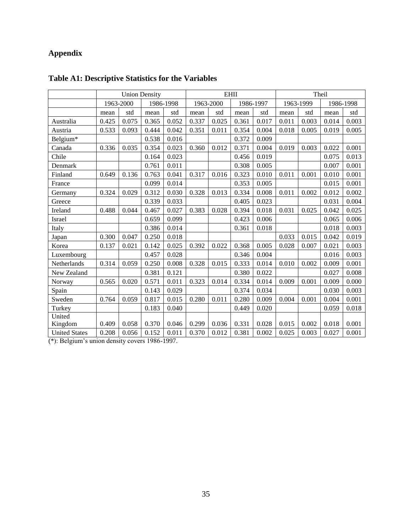# **Appendix**

|                      | <b>Union Density</b> |       |           |           | <b>EHII</b> |       |           |       | Theil     |       |           |       |
|----------------------|----------------------|-------|-----------|-----------|-------------|-------|-----------|-------|-----------|-------|-----------|-------|
|                      | 1963-2000            |       | 1986-1998 |           | 1963-2000   |       | 1986-1997 |       | 1963-1999 |       | 1986-1998 |       |
|                      | mean                 | std   | mean      | std       | mean        | std   | mean      | std   | mean      | std   | mean      | std   |
| Australia            | 0.425                | 0.075 | 0.365     | 0.052     | 0.337       | 0.025 | 0.361     | 0.017 | 0.011     | 0.003 | 0.014     | 0.003 |
| Austria              | 0.533                | 0.093 | 0.444     | 0.042     | 0.351       | 0.011 | 0.354     | 0.004 | 0.018     | 0.005 | 0.019     | 0.005 |
| Belgium*             |                      |       | 0.538     | 0.016     |             |       | 0.372     | 0.009 |           |       |           |       |
| Canada               | 0.336                | 0.035 | 0.354     | 0.023     | 0.360       | 0.012 | 0.371     | 0.004 | 0.019     | 0.003 | 0.022     | 0.001 |
| Chile                |                      |       | 0.164     | 0.023     |             |       | 0.456     | 0.019 |           |       | 0.075     | 0.013 |
| Denmark              |                      |       | 0.761     | $0.011\,$ |             |       | 0.308     | 0.005 |           |       | 0.007     | 0.001 |
| Finland              | 0.649                | 0.136 | 0.763     | 0.041     | 0.317       | 0.016 | 0.323     | 0.010 | 0.011     | 0.001 | 0.010     | 0.001 |
| France               |                      |       | 0.099     | 0.014     |             |       | 0.353     | 0.005 |           |       | 0.015     | 0.001 |
| Germany              | 0.324                | 0.029 | 0.312     | 0.030     | 0.328       | 0.013 | 0.334     | 0.008 | 0.011     | 0.002 | 0.012     | 0.002 |
| Greece               |                      |       | 0.339     | 0.033     |             |       | 0.405     | 0.023 |           |       | 0.031     | 0.004 |
| Ireland              | 0.488                | 0.044 | 0.467     | 0.027     | 0.383       | 0.028 | 0.394     | 0.018 | 0.031     | 0.025 | 0.042     | 0.025 |
| Israel               |                      |       | 0.659     | 0.099     |             |       | 0.423     | 0.006 |           |       | 0.065     | 0.006 |
| Italy                |                      |       | 0.386     | 0.014     |             |       | 0.361     | 0.018 |           |       | 0.018     | 0.003 |
| Japan                | 0.300                | 0.047 | 0.250     | 0.018     |             |       |           |       | 0.033     | 0.015 | 0.042     | 0.019 |
| Korea                | 0.137                | 0.021 | 0.142     | 0.025     | 0.392       | 0.022 | 0.368     | 0.005 | 0.028     | 0.007 | 0.021     | 0.003 |
| Luxembourg           |                      |       | 0.457     | 0.028     |             |       | 0.346     | 0.004 |           |       | 0.016     | 0.003 |
| Netherlands          | 0.314                | 0.059 | 0.250     | 0.008     | 0.328       | 0.015 | 0.333     | 0.014 | 0.010     | 0.002 | 0.009     | 0.001 |
| New Zealand          |                      |       | 0.381     | 0.121     |             |       | 0.380     | 0.022 |           |       | 0.027     | 0.008 |
| Norway               | 0.565                | 0.020 | 0.571     | 0.011     | 0.323       | 0.014 | 0.334     | 0.014 | 0.009     | 0.001 | 0.009     | 0.000 |
| Spain                |                      |       | 0.143     | 0.029     |             |       | 0.374     | 0.034 |           |       | 0.030     | 0.003 |
| Sweden               | 0.764                | 0.059 | 0.817     | 0.015     | 0.280       | 0.011 | 0.280     | 0.009 | 0.004     | 0.001 | 0.004     | 0.001 |
| Turkey               |                      |       | 0.183     | 0.040     |             |       | 0.449     | 0.020 |           |       | 0.059     | 0.018 |
| United               |                      |       |           |           |             |       |           |       |           |       |           |       |
| Kingdom              | 0.409                | 0.058 | 0.370     | 0.046     | 0.299       | 0.036 | 0.331     | 0.028 | 0.015     | 0.002 | 0.018     | 0.001 |
| <b>United States</b> | 0.208                | 0.056 | 0.152     | 0.011     | 0.370       | 0.012 | 0.381     | 0.002 | 0.025     | 0.003 | 0.027     | 0.001 |

# **Table A1: Descriptive Statistics for the Variables**

(\*): Belgium's union density covers 1986-1997.